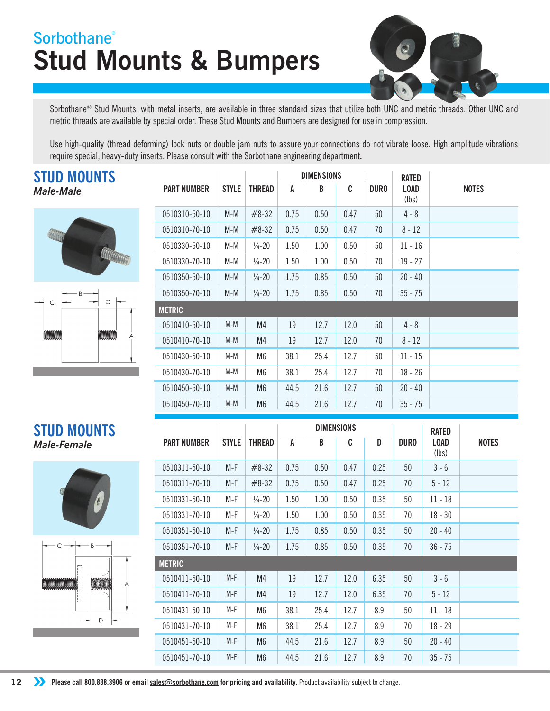## **Stud Mounts & Bumpers Sorbothane®**



Sorbothane<sup>®</sup> Stud Mounts, with metal inserts, are available in three standard sizes that utilize both UNC and metric threads. Other UNC and metric threads are available by special order. These Stud Mounts and Bumpers are designed for use in compression.

Use high-quality (thread deforming) lock nuts or double jam nuts to assure your connections do not vibrate loose. High amplitude vibrations require special, heavy-duty inserts. Please consult with the Sorbothane engineering department**.**

## **STUD MOUNTS**  *Male-Male*





|                    |              |                    | <b>DIMENSIONS</b> |      |      | <b>RATED</b> |                      |              |
|--------------------|--------------|--------------------|-------------------|------|------|--------------|----------------------|--------------|
| <b>PART NUMBER</b> | <b>STYLE</b> | <b>THREAD</b>      | A                 | B    | C    | <b>DURO</b>  | <b>LOAD</b><br>(lbs) | <b>NOTES</b> |
| 0510310-50-10      | $M-M$        | $#8-32$            | 0.75              | 0.50 | 0.47 | 50           | $4 - 8$              |              |
| 0510310-70-10      | $M-M$        | $#8-32$            | 0.75              | 0.50 | 0.47 | 70           | $8 - 12$             |              |
| 0510330-50-10      | M-M          | $\frac{1}{4} - 20$ | 1.50              | 1.00 | 0.50 | 50           | $11 - 16$            |              |
| 0510330-70-10      | M-M          | $\frac{1}{4} - 20$ | 1.50              | 1.00 | 0.50 | 70           | $19 - 27$            |              |
| 0510350-50-10      | $M-M$        | $\frac{1}{4} - 20$ | 1.75              | 0.85 | 0.50 | 50           | $20 - 40$            |              |
| 0510350-70-10      | $M-M$        | $\frac{1}{4}$ -20  | 1.75              | 0.85 | 0.50 | 70           | $35 - 75$            |              |
| <b>METRIC</b>      |              |                    |                   |      |      |              |                      |              |
| 0510410-50-10      | $M-M$        | M4                 | 19                | 12.7 | 12.0 | 50           | $4 - 8$              |              |
| 0510410-70-10      | $M-M$        | M4                 | 19                | 12.7 | 12.0 | 70           | $8 - 12$             |              |
| 0510430-50-10      | M-M          | M6                 | 38.1              | 25.4 | 12.7 | 50           | $11 - 15$            |              |
| 0510430-70-10      | M-M          | M6                 | 38.1              | 25.4 | 12.7 | 70           | $18 - 26$            |              |
| 0510450-50-10      | $M-M$        | M <sub>6</sub>     | 44.5              | 21.6 | 12.7 | 50           | $20 - 40$            |              |
| 0510450-70-10      | $M-M$        | M <sub>6</sub>     | 44.5              | 21.6 | 12.7 | 70           | $35 - 75$            |              |

## **STUD MOUNTS** *Male-Female*



B **MARKET AND REAL**  $\overline{D}$ 

|                    | <b>DIMENSIONS</b> |                    |      |      |      |      |             | <b>RATED</b>         |              |
|--------------------|-------------------|--------------------|------|------|------|------|-------------|----------------------|--------------|
| <b>PART NUMBER</b> | <b>STYLE</b>      | THREAD             | A    | B    | C    | D    | <b>DURO</b> | <b>LOAD</b><br>(lbs) | <b>NOTES</b> |
| 0510311-50-10      | $M-F$             | $#8-32$            | 0.75 | 0.50 | 0.47 | 0.25 | 50          | $3 - 6$              |              |
| 0510311-70-10      | M-F               | $#8-32$            | 0.75 | 0.50 | 0.47 | 0.25 | 70          | $5 - 12$             |              |
| 0510331-50-10      | $M-F$             | $\frac{1}{4} - 20$ | 1.50 | 1.00 | 0.50 | 0.35 | 50          | $11 - 18$            |              |
| 0510331-70-10      | M-F               | $\frac{1}{4} - 20$ | 1.50 | 1.00 | 0.50 | 0.35 | 70          | $18 - 30$            |              |
| 0510351-50-10      | M-F               | $\frac{1}{4} - 20$ | 1.75 | 0.85 | 0.50 | 0.35 | 50          | $20 - 40$            |              |
| 0510351-70-10      | $M-F$             | $\frac{1}{4} - 20$ | 1.75 | 0.85 | 0.50 | 0.35 | 70          | $36 - 75$            |              |
| METRIC             |                   |                    |      |      |      |      |             |                      |              |
| 0510411-50-10      | $M-F$             | M4                 | 19   | 12.7 | 12.0 | 6.35 | 50          | $3 - 6$              |              |
| 0510411-70-10      | $M-F$             | M4                 | 19   | 12.7 | 12.0 | 6.35 | 70          | $5 - 12$             |              |
| 0510431-50-10      | M-F               | M <sub>6</sub>     | 38.1 | 25.4 | 12.7 | 8.9  | 50          | $11 - 18$            |              |
| 0510431-70-10      | M-F               | M <sub>6</sub>     | 38.1 | 25.4 | 12.7 | 8.9  | 70          | $18 - 29$            |              |
| 0510451-50-10      | $M-F$             | M6                 | 44.5 | 21.6 | 12.7 | 8.9  | 50          | $20 - 40$            |              |
| 0510451-70-10      | $M-F$             | M <sub>6</sub>     | 44.5 | 21.6 | 12.7 | 8.9  | 70          | $35 - 75$            |              |

**12 ••** Please call 800.838.3906 or email sales@sorbothane.com for pricing and availability. Product availability subject to change.